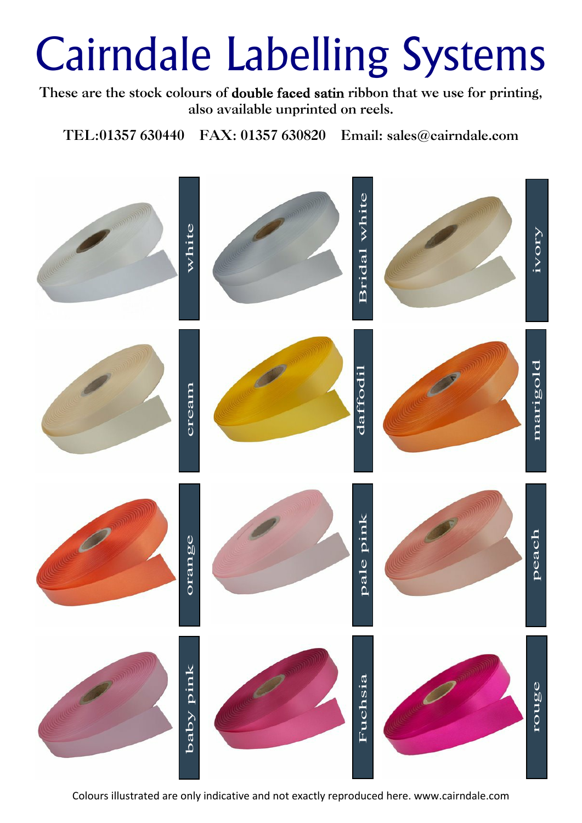These are the stock colours of **double faced satin** ribbon that we use for printing, **also available unprinted on reels.**

**TEL:01357 630440 FAX: 01357 630820 Email: sales@cairndale.com**

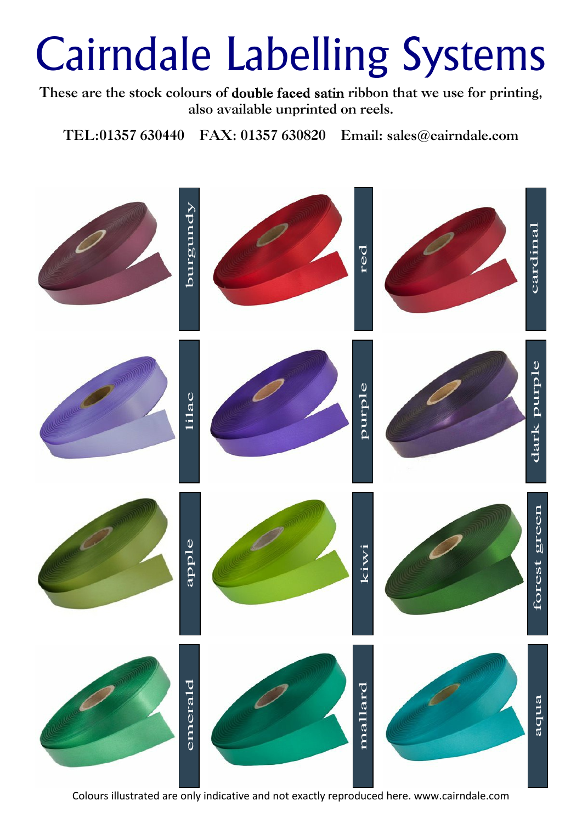These are the stock colours of **double faced satin** ribbon that we use for printing, **also available unprinted on reels.**

**TEL:01357 630440 FAX: 01357 630820 Email: sales@cairndale.com**

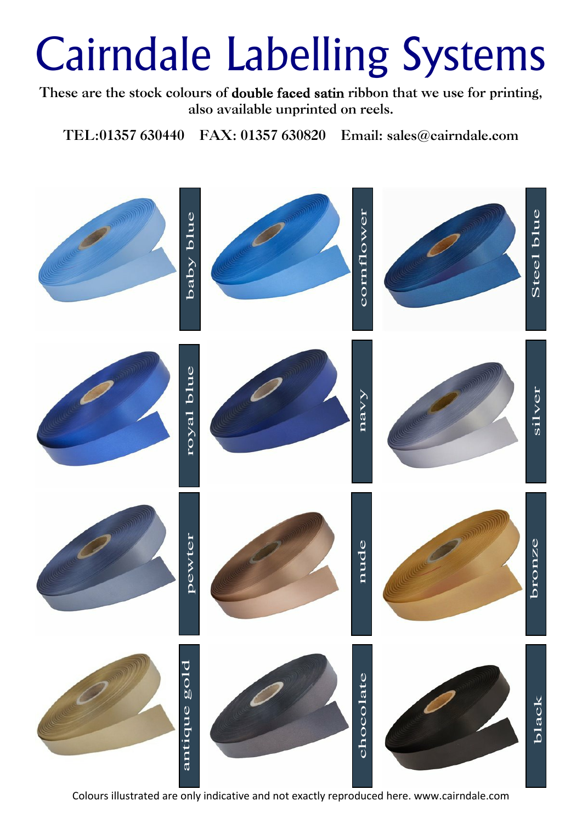These are the stock colours of **double faced satin** ribbon that we use for printing, **also available unprinted on reels.**

**TEL:01357 630440 FAX: 01357 630820 Email: sales@cairndale.com**